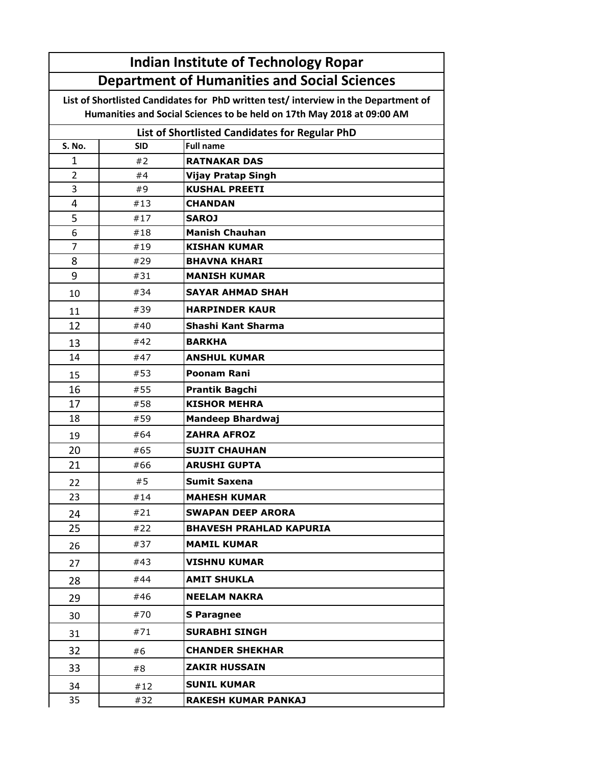| <b>Department of Humanities and Social Sciences</b><br>List of Shortlisted Candidates for PhD written test/interview in the Department of<br>Humanities and Social Sciences to be held on 17th May 2018 at 09:00 AM<br>List of Shortlisted Candidates for Regular PhD<br><b>Full name</b><br>S. No.<br><b>SID</b><br>#2<br><b>RATNAKAR DAS</b><br>1<br>$\overline{2}$<br>#4<br><b>Vijay Pratap Singh</b><br>3<br><b>KUSHAL PREETI</b><br>#9<br>4<br>#13<br><b>CHANDAN</b><br>5<br>#17<br><b>SAROJ</b><br>6<br><b>Manish Chauhan</b><br>#18<br>7<br><b>KISHAN KUMAR</b><br>#19<br>8<br>#29<br><b>BHAVNA KHARI</b><br>9<br><b>MANISH KUMAR</b><br>#31<br>#34<br><b>SAYAR AHMAD SHAH</b><br>10<br><b>HARPINDER KAUR</b><br>#39<br>11<br>12<br>Shashi Kant Sharma<br>#40<br><b>BARKHA</b><br>#42<br>13<br>#47<br><b>ANSHUL KUMAR</b><br>14<br><b>Poonam Rani</b><br>#53<br>15<br>16<br>#55<br><b>Prantik Bagchi</b><br>17<br><b>KISHOR MEHRA</b><br>#58<br>18<br><b>Mandeep Bhardwaj</b><br>#59<br><b>ZAHRA AFROZ</b><br>#64<br>19<br>20<br>#65<br><b>SUJIT CHAUHAN</b><br>21<br><b>ARUSHI GUPTA</b><br>#66<br>#5<br>Sumit Saxena<br>22<br><b>MAHESH KUMAR</b><br>23<br>#14<br>#21<br><b>SWAPAN DEEP ARORA</b><br>24<br>25<br>#22<br><b>BHAVESH PRAHLAD KAPURIA</b><br><b>MAMIL KUMAR</b><br>#37<br>26<br><b>VISHNU KUMAR</b><br>#43<br>27<br>#44<br><b>AMIT SHUKLA</b><br>28<br><b>NEELAM NAKRA</b><br>#46<br>29<br>#70<br><b>S</b> Paragnee<br>30<br>#71<br><b>SURABHI SINGH</b><br>31<br><b>CHANDER SHEKHAR</b><br>32<br>#6<br>ZAKIR HUSSAIN<br>33<br>#8<br><b>SUNIL KUMAR</b><br>34<br>#12<br>35<br>#32<br><b>RAKESH KUMAR PANKAJ</b> |  | <b>Indian Institute of Technology Ropar</b> |  |  |  |  |
|---------------------------------------------------------------------------------------------------------------------------------------------------------------------------------------------------------------------------------------------------------------------------------------------------------------------------------------------------------------------------------------------------------------------------------------------------------------------------------------------------------------------------------------------------------------------------------------------------------------------------------------------------------------------------------------------------------------------------------------------------------------------------------------------------------------------------------------------------------------------------------------------------------------------------------------------------------------------------------------------------------------------------------------------------------------------------------------------------------------------------------------------------------------------------------------------------------------------------------------------------------------------------------------------------------------------------------------------------------------------------------------------------------------------------------------------------------------------------------------------------------------------------------------------------------------------------------------------------------------------------------------|--|---------------------------------------------|--|--|--|--|
|                                                                                                                                                                                                                                                                                                                                                                                                                                                                                                                                                                                                                                                                                                                                                                                                                                                                                                                                                                                                                                                                                                                                                                                                                                                                                                                                                                                                                                                                                                                                                                                                                                       |  |                                             |  |  |  |  |
|                                                                                                                                                                                                                                                                                                                                                                                                                                                                                                                                                                                                                                                                                                                                                                                                                                                                                                                                                                                                                                                                                                                                                                                                                                                                                                                                                                                                                                                                                                                                                                                                                                       |  |                                             |  |  |  |  |
|                                                                                                                                                                                                                                                                                                                                                                                                                                                                                                                                                                                                                                                                                                                                                                                                                                                                                                                                                                                                                                                                                                                                                                                                                                                                                                                                                                                                                                                                                                                                                                                                                                       |  |                                             |  |  |  |  |
|                                                                                                                                                                                                                                                                                                                                                                                                                                                                                                                                                                                                                                                                                                                                                                                                                                                                                                                                                                                                                                                                                                                                                                                                                                                                                                                                                                                                                                                                                                                                                                                                                                       |  |                                             |  |  |  |  |
|                                                                                                                                                                                                                                                                                                                                                                                                                                                                                                                                                                                                                                                                                                                                                                                                                                                                                                                                                                                                                                                                                                                                                                                                                                                                                                                                                                                                                                                                                                                                                                                                                                       |  |                                             |  |  |  |  |
|                                                                                                                                                                                                                                                                                                                                                                                                                                                                                                                                                                                                                                                                                                                                                                                                                                                                                                                                                                                                                                                                                                                                                                                                                                                                                                                                                                                                                                                                                                                                                                                                                                       |  |                                             |  |  |  |  |
|                                                                                                                                                                                                                                                                                                                                                                                                                                                                                                                                                                                                                                                                                                                                                                                                                                                                                                                                                                                                                                                                                                                                                                                                                                                                                                                                                                                                                                                                                                                                                                                                                                       |  |                                             |  |  |  |  |
|                                                                                                                                                                                                                                                                                                                                                                                                                                                                                                                                                                                                                                                                                                                                                                                                                                                                                                                                                                                                                                                                                                                                                                                                                                                                                                                                                                                                                                                                                                                                                                                                                                       |  |                                             |  |  |  |  |
|                                                                                                                                                                                                                                                                                                                                                                                                                                                                                                                                                                                                                                                                                                                                                                                                                                                                                                                                                                                                                                                                                                                                                                                                                                                                                                                                                                                                                                                                                                                                                                                                                                       |  |                                             |  |  |  |  |
|                                                                                                                                                                                                                                                                                                                                                                                                                                                                                                                                                                                                                                                                                                                                                                                                                                                                                                                                                                                                                                                                                                                                                                                                                                                                                                                                                                                                                                                                                                                                                                                                                                       |  |                                             |  |  |  |  |
|                                                                                                                                                                                                                                                                                                                                                                                                                                                                                                                                                                                                                                                                                                                                                                                                                                                                                                                                                                                                                                                                                                                                                                                                                                                                                                                                                                                                                                                                                                                                                                                                                                       |  |                                             |  |  |  |  |
|                                                                                                                                                                                                                                                                                                                                                                                                                                                                                                                                                                                                                                                                                                                                                                                                                                                                                                                                                                                                                                                                                                                                                                                                                                                                                                                                                                                                                                                                                                                                                                                                                                       |  |                                             |  |  |  |  |
|                                                                                                                                                                                                                                                                                                                                                                                                                                                                                                                                                                                                                                                                                                                                                                                                                                                                                                                                                                                                                                                                                                                                                                                                                                                                                                                                                                                                                                                                                                                                                                                                                                       |  |                                             |  |  |  |  |
|                                                                                                                                                                                                                                                                                                                                                                                                                                                                                                                                                                                                                                                                                                                                                                                                                                                                                                                                                                                                                                                                                                                                                                                                                                                                                                                                                                                                                                                                                                                                                                                                                                       |  |                                             |  |  |  |  |
|                                                                                                                                                                                                                                                                                                                                                                                                                                                                                                                                                                                                                                                                                                                                                                                                                                                                                                                                                                                                                                                                                                                                                                                                                                                                                                                                                                                                                                                                                                                                                                                                                                       |  |                                             |  |  |  |  |
|                                                                                                                                                                                                                                                                                                                                                                                                                                                                                                                                                                                                                                                                                                                                                                                                                                                                                                                                                                                                                                                                                                                                                                                                                                                                                                                                                                                                                                                                                                                                                                                                                                       |  |                                             |  |  |  |  |
|                                                                                                                                                                                                                                                                                                                                                                                                                                                                                                                                                                                                                                                                                                                                                                                                                                                                                                                                                                                                                                                                                                                                                                                                                                                                                                                                                                                                                                                                                                                                                                                                                                       |  |                                             |  |  |  |  |
|                                                                                                                                                                                                                                                                                                                                                                                                                                                                                                                                                                                                                                                                                                                                                                                                                                                                                                                                                                                                                                                                                                                                                                                                                                                                                                                                                                                                                                                                                                                                                                                                                                       |  |                                             |  |  |  |  |
|                                                                                                                                                                                                                                                                                                                                                                                                                                                                                                                                                                                                                                                                                                                                                                                                                                                                                                                                                                                                                                                                                                                                                                                                                                                                                                                                                                                                                                                                                                                                                                                                                                       |  |                                             |  |  |  |  |
|                                                                                                                                                                                                                                                                                                                                                                                                                                                                                                                                                                                                                                                                                                                                                                                                                                                                                                                                                                                                                                                                                                                                                                                                                                                                                                                                                                                                                                                                                                                                                                                                                                       |  |                                             |  |  |  |  |
|                                                                                                                                                                                                                                                                                                                                                                                                                                                                                                                                                                                                                                                                                                                                                                                                                                                                                                                                                                                                                                                                                                                                                                                                                                                                                                                                                                                                                                                                                                                                                                                                                                       |  |                                             |  |  |  |  |
|                                                                                                                                                                                                                                                                                                                                                                                                                                                                                                                                                                                                                                                                                                                                                                                                                                                                                                                                                                                                                                                                                                                                                                                                                                                                                                                                                                                                                                                                                                                                                                                                                                       |  |                                             |  |  |  |  |
|                                                                                                                                                                                                                                                                                                                                                                                                                                                                                                                                                                                                                                                                                                                                                                                                                                                                                                                                                                                                                                                                                                                                                                                                                                                                                                                                                                                                                                                                                                                                                                                                                                       |  |                                             |  |  |  |  |
|                                                                                                                                                                                                                                                                                                                                                                                                                                                                                                                                                                                                                                                                                                                                                                                                                                                                                                                                                                                                                                                                                                                                                                                                                                                                                                                                                                                                                                                                                                                                                                                                                                       |  |                                             |  |  |  |  |
|                                                                                                                                                                                                                                                                                                                                                                                                                                                                                                                                                                                                                                                                                                                                                                                                                                                                                                                                                                                                                                                                                                                                                                                                                                                                                                                                                                                                                                                                                                                                                                                                                                       |  |                                             |  |  |  |  |
|                                                                                                                                                                                                                                                                                                                                                                                                                                                                                                                                                                                                                                                                                                                                                                                                                                                                                                                                                                                                                                                                                                                                                                                                                                                                                                                                                                                                                                                                                                                                                                                                                                       |  |                                             |  |  |  |  |
|                                                                                                                                                                                                                                                                                                                                                                                                                                                                                                                                                                                                                                                                                                                                                                                                                                                                                                                                                                                                                                                                                                                                                                                                                                                                                                                                                                                                                                                                                                                                                                                                                                       |  |                                             |  |  |  |  |
|                                                                                                                                                                                                                                                                                                                                                                                                                                                                                                                                                                                                                                                                                                                                                                                                                                                                                                                                                                                                                                                                                                                                                                                                                                                                                                                                                                                                                                                                                                                                                                                                                                       |  |                                             |  |  |  |  |
|                                                                                                                                                                                                                                                                                                                                                                                                                                                                                                                                                                                                                                                                                                                                                                                                                                                                                                                                                                                                                                                                                                                                                                                                                                                                                                                                                                                                                                                                                                                                                                                                                                       |  |                                             |  |  |  |  |
|                                                                                                                                                                                                                                                                                                                                                                                                                                                                                                                                                                                                                                                                                                                                                                                                                                                                                                                                                                                                                                                                                                                                                                                                                                                                                                                                                                                                                                                                                                                                                                                                                                       |  |                                             |  |  |  |  |
|                                                                                                                                                                                                                                                                                                                                                                                                                                                                                                                                                                                                                                                                                                                                                                                                                                                                                                                                                                                                                                                                                                                                                                                                                                                                                                                                                                                                                                                                                                                                                                                                                                       |  |                                             |  |  |  |  |
|                                                                                                                                                                                                                                                                                                                                                                                                                                                                                                                                                                                                                                                                                                                                                                                                                                                                                                                                                                                                                                                                                                                                                                                                                                                                                                                                                                                                                                                                                                                                                                                                                                       |  |                                             |  |  |  |  |
|                                                                                                                                                                                                                                                                                                                                                                                                                                                                                                                                                                                                                                                                                                                                                                                                                                                                                                                                                                                                                                                                                                                                                                                                                                                                                                                                                                                                                                                                                                                                                                                                                                       |  |                                             |  |  |  |  |
|                                                                                                                                                                                                                                                                                                                                                                                                                                                                                                                                                                                                                                                                                                                                                                                                                                                                                                                                                                                                                                                                                                                                                                                                                                                                                                                                                                                                                                                                                                                                                                                                                                       |  |                                             |  |  |  |  |
|                                                                                                                                                                                                                                                                                                                                                                                                                                                                                                                                                                                                                                                                                                                                                                                                                                                                                                                                                                                                                                                                                                                                                                                                                                                                                                                                                                                                                                                                                                                                                                                                                                       |  |                                             |  |  |  |  |
|                                                                                                                                                                                                                                                                                                                                                                                                                                                                                                                                                                                                                                                                                                                                                                                                                                                                                                                                                                                                                                                                                                                                                                                                                                                                                                                                                                                                                                                                                                                                                                                                                                       |  |                                             |  |  |  |  |
|                                                                                                                                                                                                                                                                                                                                                                                                                                                                                                                                                                                                                                                                                                                                                                                                                                                                                                                                                                                                                                                                                                                                                                                                                                                                                                                                                                                                                                                                                                                                                                                                                                       |  |                                             |  |  |  |  |
|                                                                                                                                                                                                                                                                                                                                                                                                                                                                                                                                                                                                                                                                                                                                                                                                                                                                                                                                                                                                                                                                                                                                                                                                                                                                                                                                                                                                                                                                                                                                                                                                                                       |  |                                             |  |  |  |  |
|                                                                                                                                                                                                                                                                                                                                                                                                                                                                                                                                                                                                                                                                                                                                                                                                                                                                                                                                                                                                                                                                                                                                                                                                                                                                                                                                                                                                                                                                                                                                                                                                                                       |  |                                             |  |  |  |  |
|                                                                                                                                                                                                                                                                                                                                                                                                                                                                                                                                                                                                                                                                                                                                                                                                                                                                                                                                                                                                                                                                                                                                                                                                                                                                                                                                                                                                                                                                                                                                                                                                                                       |  |                                             |  |  |  |  |